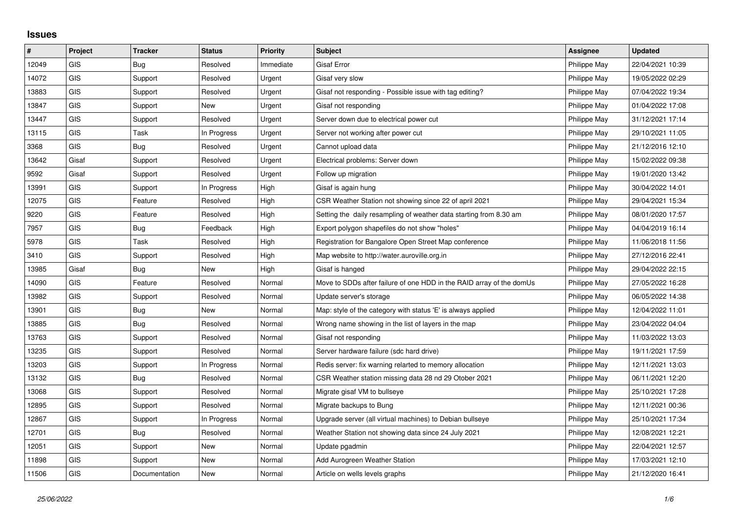## **Issues**

| $\vert$ # | Project    | <b>Tracker</b> | <b>Status</b> | <b>Priority</b> | <b>Subject</b>                                                       | Assignee     | <b>Updated</b>   |
|-----------|------------|----------------|---------------|-----------------|----------------------------------------------------------------------|--------------|------------------|
| 12049     | GIS        | Bug            | Resolved      | Immediate       | <b>Gisaf Error</b>                                                   | Philippe May | 22/04/2021 10:39 |
| 14072     | GIS        | Support        | Resolved      | Urgent          | Gisaf very slow                                                      | Philippe May | 19/05/2022 02:29 |
| 13883     | <b>GIS</b> | Support        | Resolved      | Urgent          | Gisaf not responding - Possible issue with tag editing?              | Philippe May | 07/04/2022 19:34 |
| 13847     | <b>GIS</b> | Support        | <b>New</b>    | Urgent          | Gisaf not responding                                                 | Philippe May | 01/04/2022 17:08 |
| 13447     | GIS        | Support        | Resolved      | Urgent          | Server down due to electrical power cut                              | Philippe May | 31/12/2021 17:14 |
| 13115     | <b>GIS</b> | Task           | In Progress   | Urgent          | Server not working after power cut                                   | Philippe May | 29/10/2021 11:05 |
| 3368      | <b>GIS</b> | Bug            | Resolved      | Urgent          | Cannot upload data                                                   | Philippe May | 21/12/2016 12:10 |
| 13642     | Gisaf      | Support        | Resolved      | Urgent          | Electrical problems: Server down                                     | Philippe May | 15/02/2022 09:38 |
| 9592      | Gisaf      | Support        | Resolved      | Urgent          | Follow up migration                                                  | Philippe May | 19/01/2020 13:42 |
| 13991     | GIS        | Support        | In Progress   | High            | Gisaf is again hung                                                  | Philippe May | 30/04/2022 14:01 |
| 12075     | <b>GIS</b> | Feature        | Resolved      | High            | CSR Weather Station not showing since 22 of april 2021               | Philippe May | 29/04/2021 15:34 |
| 9220      | <b>GIS</b> | Feature        | Resolved      | High            | Setting the daily resampling of weather data starting from 8.30 am   | Philippe May | 08/01/2020 17:57 |
| 7957      | GIS        | Bug            | Feedback      | High            | Export polygon shapefiles do not show "holes"                        | Philippe May | 04/04/2019 16:14 |
| 5978      | <b>GIS</b> | Task           | Resolved      | High            | Registration for Bangalore Open Street Map conference                | Philippe May | 11/06/2018 11:56 |
| 3410      | <b>GIS</b> | Support        | Resolved      | High            | Map website to http://water.auroville.org.in                         | Philippe May | 27/12/2016 22:41 |
| 13985     | Gisaf      | Bug            | <b>New</b>    | High            | Gisaf is hanged                                                      | Philippe May | 29/04/2022 22:15 |
| 14090     | <b>GIS</b> | Feature        | Resolved      | Normal          | Move to SDDs after failure of one HDD in the RAID array of the domUs | Philippe May | 27/05/2022 16:28 |
| 13982     | GIS        | Support        | Resolved      | Normal          | Update server's storage                                              | Philippe May | 06/05/2022 14:38 |
| 13901     | GIS        | Bug            | New           | Normal          | Map: style of the category with status 'E' is always applied         | Philippe May | 12/04/2022 11:01 |
| 13885     | <b>GIS</b> | Bug            | Resolved      | Normal          | Wrong name showing in the list of layers in the map                  | Philippe May | 23/04/2022 04:04 |
| 13763     | GIS        | Support        | Resolved      | Normal          | Gisaf not responding                                                 | Philippe May | 11/03/2022 13:03 |
| 13235     | <b>GIS</b> | Support        | Resolved      | Normal          | Server hardware failure (sdc hard drive)                             | Philippe May | 19/11/2021 17:59 |
| 13203     | <b>GIS</b> | Support        | In Progress   | Normal          | Redis server: fix warning relarted to memory allocation              | Philippe May | 12/11/2021 13:03 |
| 13132     | GIS        | Bug            | Resolved      | Normal          | CSR Weather station missing data 28 nd 29 Otober 2021                | Philippe May | 06/11/2021 12:20 |
| 13068     | <b>GIS</b> | Support        | Resolved      | Normal          | Migrate gisaf VM to bullseye                                         | Philippe May | 25/10/2021 17:28 |
| 12895     | <b>GIS</b> | Support        | Resolved      | Normal          | Migrate backups to Bung                                              | Philippe May | 12/11/2021 00:36 |
| 12867     | GIS        | Support        | In Progress   | Normal          | Upgrade server (all virtual machines) to Debian bullseye             | Philippe May | 25/10/2021 17:34 |
| 12701     | <b>GIS</b> | Bug            | Resolved      | Normal          | Weather Station not showing data since 24 July 2021                  | Philippe May | 12/08/2021 12:21 |
| 12051     | <b>GIS</b> | Support        | New           | Normal          | Update pgadmin                                                       | Philippe May | 22/04/2021 12:57 |
| 11898     | <b>GIS</b> | Support        | <b>New</b>    | Normal          | Add Aurogreen Weather Station                                        | Philippe May | 17/03/2021 12:10 |
| 11506     | GIS        | Documentation  | <b>New</b>    | Normal          | Article on wells levels graphs                                       | Philippe May | 21/12/2020 16:41 |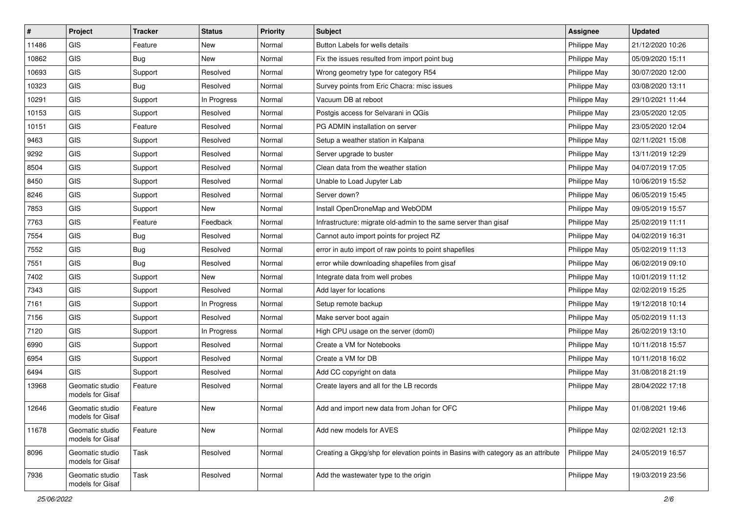| $\sharp$ | Project                             | <b>Tracker</b> | <b>Status</b> | <b>Priority</b> | Subject                                                                          | <b>Assignee</b> | <b>Updated</b>   |
|----------|-------------------------------------|----------------|---------------|-----------------|----------------------------------------------------------------------------------|-----------------|------------------|
| 11486    | GIS                                 | Feature        | New           | Normal          | Button Labels for wells details                                                  | Philippe May    | 21/12/2020 10:26 |
| 10862    | <b>GIS</b>                          | Bug            | <b>New</b>    | Normal          | Fix the issues resulted from import point bug                                    | Philippe May    | 05/09/2020 15:11 |
| 10693    | GIS                                 | Support        | Resolved      | Normal          | Wrong geometry type for category R54                                             | Philippe May    | 30/07/2020 12:00 |
| 10323    | GIS                                 | <b>Bug</b>     | Resolved      | Normal          | Survey points from Eric Chacra: misc issues                                      | Philippe May    | 03/08/2020 13:11 |
| 10291    | GIS                                 | Support        | In Progress   | Normal          | Vacuum DB at reboot                                                              | Philippe May    | 29/10/2021 11:44 |
| 10153    | <b>GIS</b>                          | Support        | Resolved      | Normal          | Postgis access for Selvarani in QGis                                             | Philippe May    | 23/05/2020 12:05 |
| 10151    | GIS                                 | Feature        | Resolved      | Normal          | PG ADMIN installation on server                                                  | Philippe May    | 23/05/2020 12:04 |
| 9463     | GIS                                 | Support        | Resolved      | Normal          | Setup a weather station in Kalpana                                               | Philippe May    | 02/11/2021 15:08 |
| 9292     | GIS                                 | Support        | Resolved      | Normal          | Server upgrade to buster                                                         | Philippe May    | 13/11/2019 12:29 |
| 8504     | <b>GIS</b>                          | Support        | Resolved      | Normal          | Clean data from the weather station                                              | Philippe May    | 04/07/2019 17:05 |
| 8450     | GIS                                 | Support        | Resolved      | Normal          | Unable to Load Jupyter Lab                                                       | Philippe May    | 10/06/2019 15:52 |
| 8246     | GIS                                 | Support        | Resolved      | Normal          | Server down?                                                                     | Philippe May    | 06/05/2019 15:45 |
| 7853     | GIS                                 | Support        | New           | Normal          | Install OpenDroneMap and WebODM                                                  | Philippe May    | 09/05/2019 15:57 |
| 7763     | GIS                                 | Feature        | Feedback      | Normal          | Infrastructure: migrate old-admin to the same server than gisaf                  | Philippe May    | 25/02/2019 11:11 |
| 7554     | GIS                                 | Bug            | Resolved      | Normal          | Cannot auto import points for project RZ                                         | Philippe May    | 04/02/2019 16:31 |
| 7552     | GIS                                 | Bug            | Resolved      | Normal          | error in auto import of raw points to point shapefiles                           | Philippe May    | 05/02/2019 11:13 |
| 7551     | GIS                                 | <b>Bug</b>     | Resolved      | Normal          | error while downloading shapefiles from gisaf                                    | Philippe May    | 06/02/2019 09:10 |
| 7402     | GIS                                 | Support        | <b>New</b>    | Normal          | Integrate data from well probes                                                  | Philippe May    | 10/01/2019 11:12 |
| 7343     | GIS                                 | Support        | Resolved      | Normal          | Add layer for locations                                                          | Philippe May    | 02/02/2019 15:25 |
| 7161     | GIS                                 | Support        | In Progress   | Normal          | Setup remote backup                                                              | Philippe May    | 19/12/2018 10:14 |
| 7156     | GIS                                 | Support        | Resolved      | Normal          | Make server boot again                                                           | Philippe May    | 05/02/2019 11:13 |
| 7120     | GIS                                 | Support        | In Progress   | Normal          | High CPU usage on the server (dom0)                                              | Philippe May    | 26/02/2019 13:10 |
| 6990     | GIS                                 | Support        | Resolved      | Normal          | Create a VM for Notebooks                                                        | Philippe May    | 10/11/2018 15:57 |
| 6954     | GIS                                 | Support        | Resolved      | Normal          | Create a VM for DB                                                               | Philippe May    | 10/11/2018 16:02 |
| 6494     | <b>GIS</b>                          | Support        | Resolved      | Normal          | Add CC copyright on data                                                         | Philippe May    | 31/08/2018 21:19 |
| 13968    | Geomatic studio<br>models for Gisaf | Feature        | Resolved      | Normal          | Create layers and all for the LB records                                         | Philippe May    | 28/04/2022 17:18 |
| 12646    | Geomatic studio<br>models for Gisaf | Feature        | <b>New</b>    | Normal          | Add and import new data from Johan for OFC                                       | Philippe May    | 01/08/2021 19:46 |
| 11678    | Geomatic studio<br>models for Gisaf | Feature        | <b>New</b>    | Normal          | Add new models for AVES                                                          | Philippe May    | 02/02/2021 12:13 |
| 8096     | Geomatic studio<br>models for Gisaf | Task           | Resolved      | Normal          | Creating a Gkpg/shp for elevation points in Basins with category as an attribute | Philippe May    | 24/05/2019 16:57 |
| 7936     | Geomatic studio<br>models for Gisaf | Task           | Resolved      | Normal          | Add the wastewater type to the origin                                            | Philippe May    | 19/03/2019 23:56 |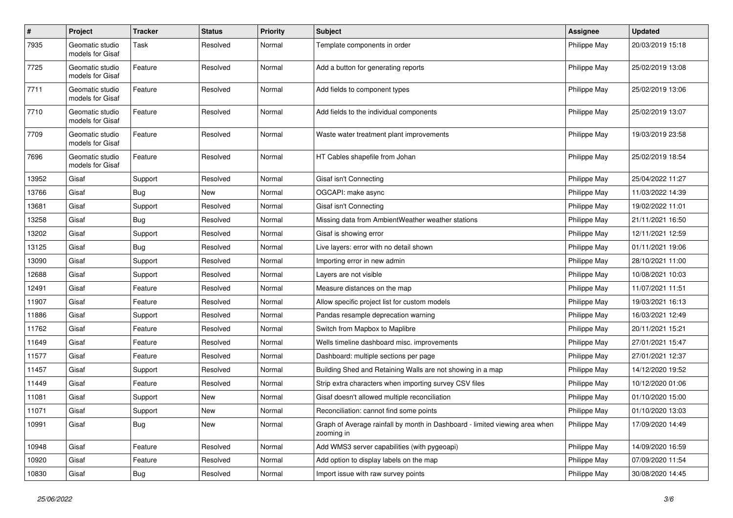| $\pmb{\#}$ | Project                             | <b>Tracker</b> | <b>Status</b> | <b>Priority</b> | <b>Subject</b>                                                                            | <b>Assignee</b> | <b>Updated</b>   |
|------------|-------------------------------------|----------------|---------------|-----------------|-------------------------------------------------------------------------------------------|-----------------|------------------|
| 7935       | Geomatic studio<br>models for Gisaf | Task           | Resolved      | Normal          | Template components in order                                                              | Philippe May    | 20/03/2019 15:18 |
| 7725       | Geomatic studio<br>models for Gisaf | Feature        | Resolved      | Normal          | Add a button for generating reports                                                       | Philippe May    | 25/02/2019 13:08 |
| 7711       | Geomatic studio<br>models for Gisaf | Feature        | Resolved      | Normal          | Add fields to component types                                                             | Philippe May    | 25/02/2019 13:06 |
| 7710       | Geomatic studio<br>models for Gisaf | Feature        | Resolved      | Normal          | Add fields to the individual components                                                   | Philippe May    | 25/02/2019 13:07 |
| 7709       | Geomatic studio<br>models for Gisaf | Feature        | Resolved      | Normal          | Waste water treatment plant improvements                                                  | Philippe May    | 19/03/2019 23:58 |
| 7696       | Geomatic studio<br>models for Gisaf | Feature        | Resolved      | Normal          | HT Cables shapefile from Johan                                                            | Philippe May    | 25/02/2019 18:54 |
| 13952      | Gisaf                               | Support        | Resolved      | Normal          | Gisaf isn't Connecting                                                                    | Philippe May    | 25/04/2022 11:27 |
| 13766      | Gisaf                               | <b>Bug</b>     | New           | Normal          | OGCAPI: make async                                                                        | Philippe May    | 11/03/2022 14:39 |
| 13681      | Gisaf                               | Support        | Resolved      | Normal          | Gisaf isn't Connecting                                                                    | Philippe May    | 19/02/2022 11:01 |
| 13258      | Gisaf                               | Bug            | Resolved      | Normal          | Missing data from AmbientWeather weather stations                                         | Philippe May    | 21/11/2021 16:50 |
| 13202      | Gisaf                               | Support        | Resolved      | Normal          | Gisaf is showing error                                                                    | Philippe May    | 12/11/2021 12:59 |
| 13125      | Gisaf                               | Bug            | Resolved      | Normal          | Live layers: error with no detail shown                                                   | Philippe May    | 01/11/2021 19:06 |
| 13090      | Gisaf                               | Support        | Resolved      | Normal          | Importing error in new admin                                                              | Philippe May    | 28/10/2021 11:00 |
| 12688      | Gisaf                               | Support        | Resolved      | Normal          | Layers are not visible                                                                    | Philippe May    | 10/08/2021 10:03 |
| 12491      | Gisaf                               | Feature        | Resolved      | Normal          | Measure distances on the map                                                              | Philippe May    | 11/07/2021 11:51 |
| 11907      | Gisaf                               | Feature        | Resolved      | Normal          | Allow specific project list for custom models                                             | Philippe May    | 19/03/2021 16:13 |
| 11886      | Gisaf                               | Support        | Resolved      | Normal          | Pandas resample deprecation warning                                                       | Philippe May    | 16/03/2021 12:49 |
| 11762      | Gisaf                               | Feature        | Resolved      | Normal          | Switch from Mapbox to Maplibre                                                            | Philippe May    | 20/11/2021 15:21 |
| 11649      | Gisaf                               | Feature        | Resolved      | Normal          | Wells timeline dashboard misc. improvements                                               | Philippe May    | 27/01/2021 15:47 |
| 11577      | Gisaf                               | Feature        | Resolved      | Normal          | Dashboard: multiple sections per page                                                     | Philippe May    | 27/01/2021 12:37 |
| 11457      | Gisaf                               | Support        | Resolved      | Normal          | Building Shed and Retaining Walls are not showing in a map                                | Philippe May    | 14/12/2020 19:52 |
| 11449      | Gisaf                               | Feature        | Resolved      | Normal          | Strip extra characters when importing survey CSV files                                    | Philippe May    | 10/12/2020 01:06 |
| 11081      | Gisaf                               | Support        | New           | Normal          | Gisaf doesn't allowed multiple reconciliation                                             | Philippe May    | 01/10/2020 15:00 |
| 11071      | Gisaf                               | Support        | New           | Normal          | Reconciliation: cannot find some points                                                   | Philippe May    | 01/10/2020 13:03 |
| 10991      | Gisaf                               | Bug            | New           | Normal          | Graph of Average rainfall by month in Dashboard - limited viewing area when<br>zooming in | Philippe May    | 17/09/2020 14:49 |
| 10948      | Gisaf                               | Feature        | Resolved      | Normal          | Add WMS3 server capabilities (with pygeoapi)                                              | Philippe May    | 14/09/2020 16:59 |
| 10920      | Gisaf                               | Feature        | Resolved      | Normal          | Add option to display labels on the map                                                   | Philippe May    | 07/09/2020 11:54 |
| 10830      | Gisaf                               | Bug            | Resolved      | Normal          | Import issue with raw survey points                                                       | Philippe May    | 30/08/2020 14:45 |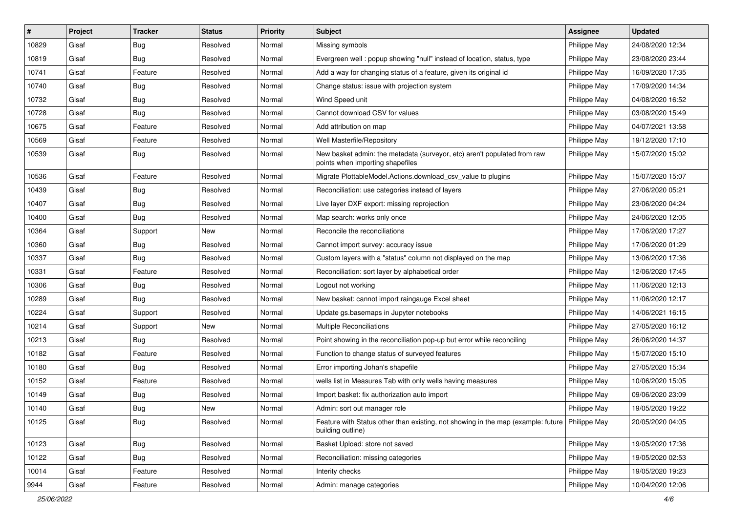| $\sharp$ | Project | <b>Tracker</b> | <b>Status</b> | <b>Priority</b> | <b>Subject</b>                                                                                                       | Assignee     | <b>Updated</b>   |
|----------|---------|----------------|---------------|-----------------|----------------------------------------------------------------------------------------------------------------------|--------------|------------------|
| 10829    | Gisaf   | <b>Bug</b>     | Resolved      | Normal          | Missing symbols                                                                                                      | Philippe May | 24/08/2020 12:34 |
| 10819    | Gisaf   | Bug            | Resolved      | Normal          | Evergreen well: popup showing "null" instead of location, status, type                                               | Philippe May | 23/08/2020 23:44 |
| 10741    | Gisaf   | Feature        | Resolved      | Normal          | Add a way for changing status of a feature, given its original id                                                    | Philippe May | 16/09/2020 17:35 |
| 10740    | Gisaf   | <b>Bug</b>     | Resolved      | Normal          | Change status: issue with projection system                                                                          | Philippe May | 17/09/2020 14:34 |
| 10732    | Gisaf   | Bug            | Resolved      | Normal          | Wind Speed unit                                                                                                      | Philippe May | 04/08/2020 16:52 |
| 10728    | Gisaf   | Bug            | Resolved      | Normal          | Cannot download CSV for values                                                                                       | Philippe May | 03/08/2020 15:49 |
| 10675    | Gisaf   | Feature        | Resolved      | Normal          | Add attribution on map                                                                                               | Philippe May | 04/07/2021 13:58 |
| 10569    | Gisaf   | Feature        | Resolved      | Normal          | Well Masterfile/Repository                                                                                           | Philippe May | 19/12/2020 17:10 |
| 10539    | Gisaf   | Bug            | Resolved      | Normal          | New basket admin: the metadata (surveyor, etc) aren't populated from raw<br>points when importing shapefiles         | Philippe May | 15/07/2020 15:02 |
| 10536    | Gisaf   | Feature        | Resolved      | Normal          | Migrate PlottableModel.Actions.download csv value to plugins                                                         | Philippe May | 15/07/2020 15:07 |
| 10439    | Gisaf   | <b>Bug</b>     | Resolved      | Normal          | Reconciliation: use categories instead of layers                                                                     | Philippe May | 27/06/2020 05:21 |
| 10407    | Gisaf   | Bug            | Resolved      | Normal          | Live layer DXF export: missing reprojection                                                                          | Philippe May | 23/06/2020 04:24 |
| 10400    | Gisaf   | Bug            | Resolved      | Normal          | Map search: works only once                                                                                          | Philippe May | 24/06/2020 12:05 |
| 10364    | Gisaf   | Support        | New           | Normal          | Reconcile the reconciliations                                                                                        | Philippe May | 17/06/2020 17:27 |
| 10360    | Gisaf   | Bug            | Resolved      | Normal          | Cannot import survey: accuracy issue                                                                                 | Philippe May | 17/06/2020 01:29 |
| 10337    | Gisaf   | <b>Bug</b>     | Resolved      | Normal          | Custom layers with a "status" column not displayed on the map                                                        | Philippe May | 13/06/2020 17:36 |
| 10331    | Gisaf   | Feature        | Resolved      | Normal          | Reconciliation: sort layer by alphabetical order                                                                     | Philippe May | 12/06/2020 17:45 |
| 10306    | Gisaf   | Bug            | Resolved      | Normal          | Logout not working                                                                                                   | Philippe May | 11/06/2020 12:13 |
| 10289    | Gisaf   | Bug            | Resolved      | Normal          | New basket: cannot import raingauge Excel sheet                                                                      | Philippe May | 11/06/2020 12:17 |
| 10224    | Gisaf   | Support        | Resolved      | Normal          | Update gs.basemaps in Jupyter notebooks                                                                              | Philippe May | 14/06/2021 16:15 |
| 10214    | Gisaf   | Support        | New           | Normal          | Multiple Reconciliations                                                                                             | Philippe May | 27/05/2020 16:12 |
| 10213    | Gisaf   | Bug            | Resolved      | Normal          | Point showing in the reconciliation pop-up but error while reconciling                                               | Philippe May | 26/06/2020 14:37 |
| 10182    | Gisaf   | Feature        | Resolved      | Normal          | Function to change status of surveyed features                                                                       | Philippe May | 15/07/2020 15:10 |
| 10180    | Gisaf   | <b>Bug</b>     | Resolved      | Normal          | Error importing Johan's shapefile                                                                                    | Philippe May | 27/05/2020 15:34 |
| 10152    | Gisaf   | Feature        | Resolved      | Normal          | wells list in Measures Tab with only wells having measures                                                           | Philippe May | 10/06/2020 15:05 |
| 10149    | Gisaf   | Bug            | Resolved      | Normal          | Import basket: fix authorization auto import                                                                         | Philippe May | 09/06/2020 23:09 |
| 10140    | Gisaf   | <b>Bug</b>     | New           | Normal          | Admin: sort out manager role                                                                                         | Philippe May | 19/05/2020 19:22 |
| 10125    | Gisaf   | Bug            | Resolved      | Normal          | Feature with Status other than existing, not showing in the map (example: future   Philippe May<br>building outline) |              | 20/05/2020 04:05 |
| 10123    | Gisaf   | Bug            | Resolved      | Normal          | Basket Upload: store not saved                                                                                       | Philippe May | 19/05/2020 17:36 |
| 10122    | Gisaf   | <b>Bug</b>     | Resolved      | Normal          | Reconciliation: missing categories                                                                                   | Philippe May | 19/05/2020 02:53 |
| 10014    | Gisaf   | Feature        | Resolved      | Normal          | Interity checks                                                                                                      | Philippe May | 19/05/2020 19:23 |
| 9944     | Gisaf   | Feature        | Resolved      | Normal          | Admin: manage categories                                                                                             | Philippe May | 10/04/2020 12:06 |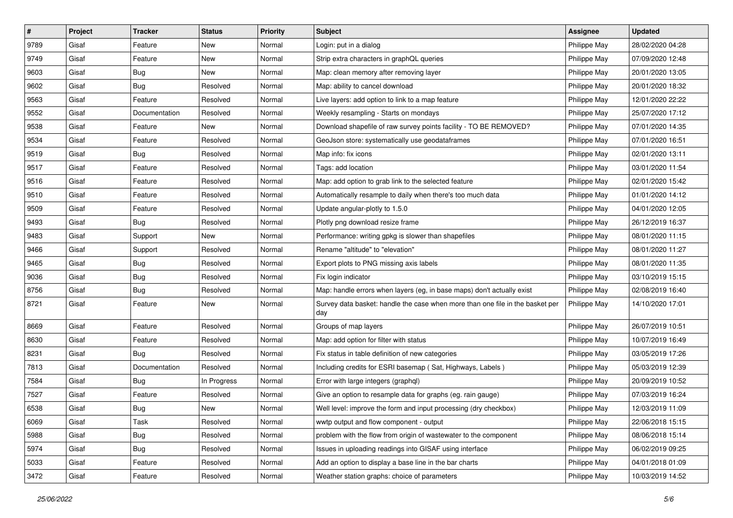| $\sharp$ | Project | <b>Tracker</b> | <b>Status</b> | <b>Priority</b> | <b>Subject</b>                                                                       | <b>Assignee</b> | <b>Updated</b>   |
|----------|---------|----------------|---------------|-----------------|--------------------------------------------------------------------------------------|-----------------|------------------|
| 9789     | Gisaf   | Feature        | New           | Normal          | Login: put in a dialog                                                               | Philippe May    | 28/02/2020 04:28 |
| 9749     | Gisaf   | Feature        | <b>New</b>    | Normal          | Strip extra characters in graphQL queries                                            | Philippe May    | 07/09/2020 12:48 |
| 9603     | Gisaf   | Bug            | New           | Normal          | Map: clean memory after removing layer                                               | Philippe May    | 20/01/2020 13:05 |
| 9602     | Gisaf   | <b>Bug</b>     | Resolved      | Normal          | Map: ability to cancel download                                                      | Philippe May    | 20/01/2020 18:32 |
| 9563     | Gisaf   | Feature        | Resolved      | Normal          | Live layers: add option to link to a map feature                                     | Philippe May    | 12/01/2020 22:22 |
| 9552     | Gisaf   | Documentation  | Resolved      | Normal          | Weekly resampling - Starts on mondays                                                | Philippe May    | 25/07/2020 17:12 |
| 9538     | Gisaf   | Feature        | New           | Normal          | Download shapefile of raw survey points facility - TO BE REMOVED?                    | Philippe May    | 07/01/2020 14:35 |
| 9534     | Gisaf   | Feature        | Resolved      | Normal          | GeoJson store: systematically use geodataframes                                      | Philippe May    | 07/01/2020 16:51 |
| 9519     | Gisaf   | <b>Bug</b>     | Resolved      | Normal          | Map info: fix icons                                                                  | Philippe May    | 02/01/2020 13:11 |
| 9517     | Gisaf   | Feature        | Resolved      | Normal          | Tags: add location                                                                   | Philippe May    | 03/01/2020 11:54 |
| 9516     | Gisaf   | Feature        | Resolved      | Normal          | Map: add option to grab link to the selected feature                                 | Philippe May    | 02/01/2020 15:42 |
| 9510     | Gisaf   | Feature        | Resolved      | Normal          | Automatically resample to daily when there's too much data                           | Philippe May    | 01/01/2020 14:12 |
| 9509     | Gisaf   | Feature        | Resolved      | Normal          | Update angular-plotly to 1.5.0                                                       | Philippe May    | 04/01/2020 12:05 |
| 9493     | Gisaf   | <b>Bug</b>     | Resolved      | Normal          | Plotly png download resize frame                                                     | Philippe May    | 26/12/2019 16:37 |
| 9483     | Gisaf   | Support        | <b>New</b>    | Normal          | Performance: writing gpkg is slower than shapefiles                                  | Philippe May    | 08/01/2020 11:15 |
| 9466     | Gisaf   | Support        | Resolved      | Normal          | Rename "altitude" to "elevation"                                                     | Philippe May    | 08/01/2020 11:27 |
| 9465     | Gisaf   | <b>Bug</b>     | Resolved      | Normal          | Export plots to PNG missing axis labels                                              | Philippe May    | 08/01/2020 11:35 |
| 9036     | Gisaf   | <b>Bug</b>     | Resolved      | Normal          | Fix login indicator                                                                  | Philippe May    | 03/10/2019 15:15 |
| 8756     | Gisaf   | <b>Bug</b>     | Resolved      | Normal          | Map: handle errors when layers (eg, in base maps) don't actually exist               | Philippe May    | 02/08/2019 16:40 |
| 8721     | Gisaf   | Feature        | New           | Normal          | Survey data basket: handle the case when more than one file in the basket per<br>day | Philippe May    | 14/10/2020 17:01 |
| 8669     | Gisaf   | Feature        | Resolved      | Normal          | Groups of map layers                                                                 | Philippe May    | 26/07/2019 10:51 |
| 8630     | Gisaf   | Feature        | Resolved      | Normal          | Map: add option for filter with status                                               | Philippe May    | 10/07/2019 16:49 |
| 8231     | Gisaf   | <b>Bug</b>     | Resolved      | Normal          | Fix status in table definition of new categories                                     | Philippe May    | 03/05/2019 17:26 |
| 7813     | Gisaf   | Documentation  | Resolved      | Normal          | Including credits for ESRI basemap (Sat, Highways, Labels)                           | Philippe May    | 05/03/2019 12:39 |
| 7584     | Gisaf   | Bug            | In Progress   | Normal          | Error with large integers (graphql)                                                  | Philippe May    | 20/09/2019 10:52 |
| 7527     | Gisaf   | Feature        | Resolved      | Normal          | Give an option to resample data for graphs (eg. rain gauge)                          | Philippe May    | 07/03/2019 16:24 |
| 6538     | Gisaf   | <b>Bug</b>     | New           | Normal          | Well level: improve the form and input processing (dry checkbox)                     | Philippe May    | 12/03/2019 11:09 |
| 6069     | Gisaf   | Task           | Resolved      | Normal          | wwtp output and flow component - output                                              | Philippe May    | 22/06/2018 15:15 |
| 5988     | Gisaf   | <b>Bug</b>     | Resolved      | Normal          | problem with the flow from origin of wastewater to the component                     | Philippe May    | 08/06/2018 15:14 |
| 5974     | Gisaf   | <b>Bug</b>     | Resolved      | Normal          | Issues in uploading readings into GISAF using interface                              | Philippe May    | 06/02/2019 09:25 |
| 5033     | Gisaf   | Feature        | Resolved      | Normal          | Add an option to display a base line in the bar charts                               | Philippe May    | 04/01/2018 01:09 |
| 3472     | Gisaf   | Feature        | Resolved      | Normal          | Weather station graphs: choice of parameters                                         | Philippe May    | 10/03/2019 14:52 |